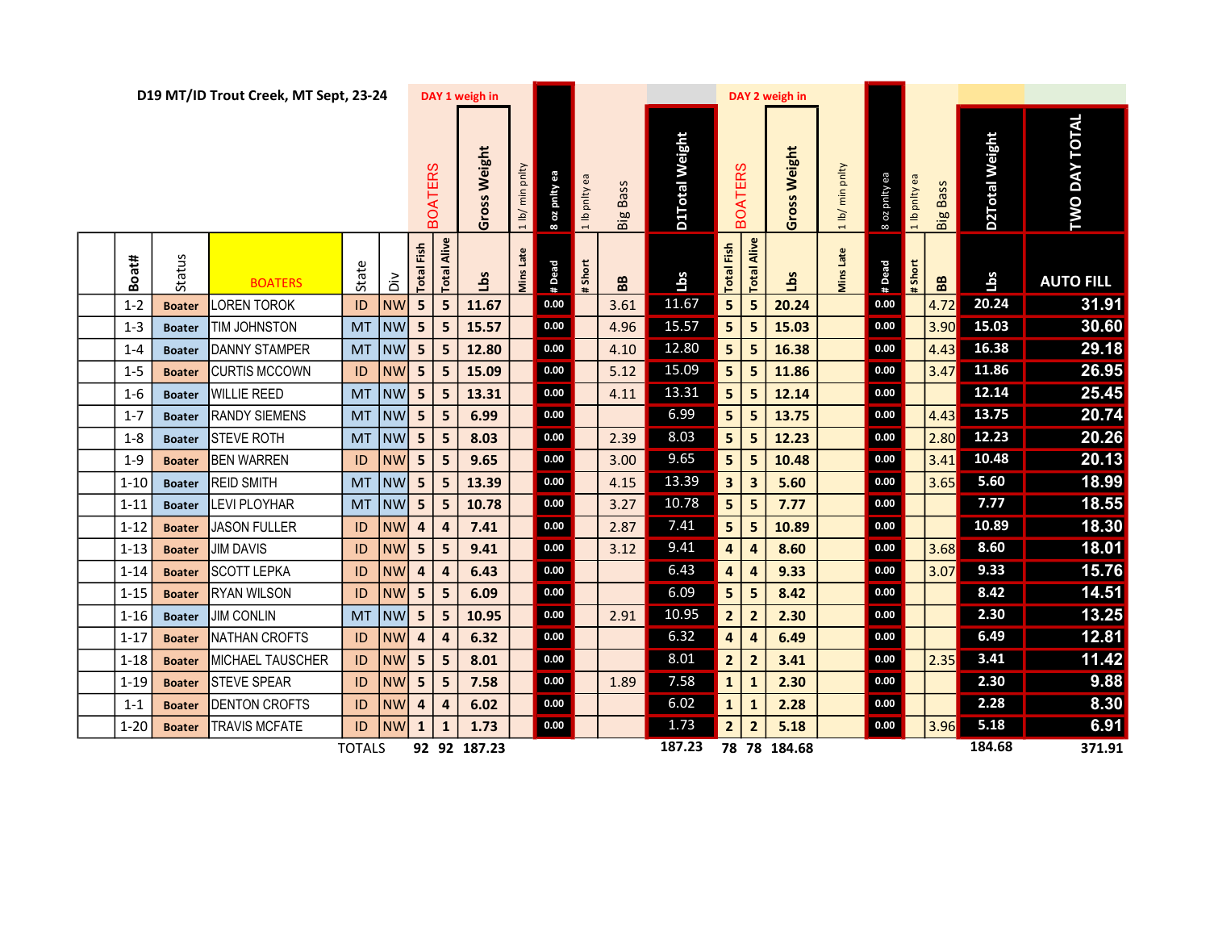|          |               | D19 MT/ID Trout Creek, MT Sept, 23-24 |               |           | DAY 1 weigh in          |                         |                    | DAY 2 weigh in   |                           |                 |                |        |                   |                         |                 |                  |               |                 |                |                      |                  |  |
|----------|---------------|---------------------------------------|---------------|-----------|-------------------------|-------------------------|--------------------|------------------|---------------------------|-----------------|----------------|--------|-------------------|-------------------------|-----------------|------------------|---------------|-----------------|----------------|----------------------|------------------|--|
|          |               |                                       |               |           | <b>BOATERS</b>          | Gross Weight            | min pnlty<br>1 lb/ | 8 oz pnity ea    | pnity ea<br>$\frac{a}{1}$ | <b>Big Bass</b> | D1Total Weight |        | <b>BOATERS</b>    | Gross Weight            | 1 lb/ min pnlty | pnity ea<br>8 oz | 1 lb pnity ea | <b>Big Bass</b> | D2Total Weight | <b>TWO DAY TOTAL</b> |                  |  |
| Boat#    | Status        | <b>BOATERS</b>                        | State         | á         | Total Fish              | <b>Total Alive</b>      | Lbs                | <b>Mins Late</b> | #Dead                     | #Short          | BB             | Lbs    | <b>Total Fish</b> | Alive<br><b>Total</b>   | <b>Lbs</b>      | Viins Late       | #Dead         | # Short         | BB             | Lbs                  | <b>AUTO FILL</b> |  |
| $1 - 2$  | <b>Boater</b> | <b>LOREN TOROK</b>                    | ID            | <b>NW</b> | 5 <sub>1</sub>          | 5                       | 11.67              |                  | 0.00                      |                 | 3.61           | 11.67  | 5 <sup>1</sup>    | 5                       | 20.24           |                  | 0.00          |                 | 4.72           | 20.24                | 31.91            |  |
| $1 - 3$  | <b>Boater</b> | TIM JOHNSTON                          | <b>MT</b>     | <b>NW</b> | 5 <sub>1</sub>          | 5                       | 15.57              |                  | 0.00                      |                 | 4.96           | 15.57  | 5 <sub>1</sub>    | 5                       | 15.03           |                  | 0.00          |                 | 3.90           | 15.03                | 30.60            |  |
| $1 - 4$  | <b>Boater</b> | <b>DANNY STAMPER</b>                  | <b>MT</b>     | <b>NW</b> | 5 <sub>1</sub>          | 5                       | 12.80              |                  | 0.00                      |                 | 4.10           | 12.80  | 5                 | 5                       | 16.38           |                  | 0.00          |                 | 4.43           | 16.38                | 29.18            |  |
| $1 - 5$  | <b>Boater</b> | <b>CURTIS MCCOWN</b>                  | ID            | <b>NW</b> | 5 <sub>1</sub>          | $\overline{\mathbf{5}}$ | 15.09              |                  | 0.00                      |                 | 5.12           | 15.09  | 5 <sub>1</sub>    | 5                       | 11.86           |                  | 0.00          |                 | $3.47$         | 11.86                | 26.95            |  |
| $1 - 6$  | <b>Boater</b> | <b>WILLIE REED</b>                    | <b>MT</b>     | <b>NW</b> | 5 <sub>1</sub>          | 5                       | 13.31              |                  | 0.00                      |                 | 4.11           | 13.31  | 5 <sup>1</sup>    | 5                       | 12.14           |                  | 0.00          |                 |                | 12.14                | 25.45            |  |
| $1 - 7$  | <b>Boater</b> | <b>RANDY SIEMENS</b>                  | <b>MT</b>     | NW        | 5 <sub>1</sub>          | 5                       | 6.99               |                  | 0.00                      |                 |                | 6.99   | 5 <sup>1</sup>    | 5                       | 13.75           |                  | 0.00          |                 | 4.43           | 13.75                | 20.74            |  |
| $1 - 8$  | <b>Boater</b> | <b>STEVE ROTH</b>                     | <b>MT</b>     | <b>NW</b> | 5 <sup>1</sup>          | 5                       | 8.03               |                  | $0.00\,$                  |                 | 2.39           | 8.03   | 5 <sup>1</sup>    | 5                       | 12.23           |                  | 0.00          |                 | 2.80           | 12.23                | 20.26            |  |
| $1 - 9$  | <b>Boater</b> | <b>BEN WARREN</b>                     | ID            | <b>NW</b> | 5 <sub>1</sub>          | 5                       | 9.65               |                  | 0.00                      |                 | 3.00           | 9.65   | 5 <sup>1</sup>    | 5                       | 10.48           |                  | 0.00          |                 | 3.41           | 10.48                | 20.13            |  |
| $1 - 10$ | <b>Boater</b> | <b>REID SMITH</b>                     | <b>MT</b>     | <b>NW</b> | 5 <sub>1</sub>          | 5                       | 13.39              |                  | 0.00                      |                 | 4.15           | 13.39  | 3                 | $\overline{\mathbf{3}}$ | 5.60            |                  | 0.00          |                 | 3.65           | 5.60                 | 18.99            |  |
| $1 - 11$ | <b>Boater</b> | <b>LEVI PLOYHAR</b>                   | <b>MT</b>     | <b>NW</b> | 5 <sub>1</sub>          | 5                       | 10.78              |                  | 0.00                      |                 | 3.27           | 10.78  | 5 <sup>1</sup>    | 5                       | 7.77            |                  | 0.00          |                 |                | 7.77                 | 18.55            |  |
| $1 - 12$ | <b>Boater</b> | <b>JASON FULLER</b>                   | ID            | <b>NW</b> | 4                       | $\overline{a}$          | 7.41               |                  | $0.00\,$                  |                 | 2.87           | 7.41   | 5 <sup>1</sup>    | 5                       | 10.89           |                  | $0.00\,$      |                 |                | 10.89                | 18.30            |  |
| $1 - 13$ | <b>Boater</b> | <b>JIM DAVIS</b>                      | ID            | <b>NW</b> | 5 <sub>1</sub>          | 5                       | 9.41               |                  | 0.00                      |                 | 3.12           | 9.41   | 4                 | $\overline{\mathbf{r}}$ | 8.60            |                  | 0.00          |                 | 3.68           | 8.60                 | 18.01            |  |
| $1 - 14$ | <b>Boater</b> | <b>SCOTT LEPKA</b>                    | ID            | <b>NW</b> | 4                       | $\overline{a}$          | 6.43               |                  | 0.00                      |                 |                | 6.43   | 4                 | $\overline{a}$          | 9.33            |                  | 0.00          |                 | 3.07           | 9.33                 | 15.76            |  |
| $1 - 15$ | <b>Boater</b> | <b>RYAN WILSON</b>                    | ID            | <b>NW</b> | 5 <sup>1</sup>          | 5                       | 6.09               |                  | 0.00                      |                 |                | 6.09   | 5 <sup>1</sup>    | 5                       | 8.42            |                  | 0.00          |                 |                | 8.42                 | 14.51            |  |
| $1 - 16$ | <b>Boater</b> | <b>JIM CONLIN</b>                     | <b>MT</b>     | NW        | 5 <sub>1</sub>          | 5                       | 10.95              |                  | 0.00                      |                 | 2.91           | 10.95  | 2                 | $\overline{\mathbf{2}}$ | 2.30            |                  | $0.00\,$      |                 |                | 2.30                 | 13.25            |  |
| $1 - 17$ | <b>Boater</b> | NATHAN CROFTS                         | ID            | <b>NW</b> | 4                       | $\overline{\mathbf{r}}$ | 6.32               |                  | $0.00\,$                  |                 |                | 6.32   | 4                 | $\overline{\mathbf{r}}$ | 6.49            |                  | 0.00          |                 |                | 6.49                 | 12.81            |  |
| $1 - 18$ | <b>Boater</b> | MICHAEL TAUSCHER                      | ID            | <b>NW</b> | 5 <sub>1</sub>          | 5                       | 8.01               |                  | $0.00\,$                  |                 |                | 8.01   | 2                 | $\overline{\mathbf{2}}$ | 3.41            |                  | 0.00          |                 | 2.35           | 3.41                 | 11.42            |  |
| $1 - 19$ | <b>Boater</b> | <b>STEVE SPEAR</b>                    | ID            | <b>NW</b> | 5 <sub>1</sub>          | 5                       | 7.58               |                  | 0.00                      |                 | 1.89           | 7.58   | 1                 | $\mathbf{1}$            | 2.30            |                  | 0.00          |                 |                | 2.30                 | 9.88             |  |
| $1 - 1$  | <b>Boater</b> | <b>DENTON CROFTS</b>                  | ID            | <b>NW</b> | $\overline{\mathbf{4}}$ | $\overline{a}$          | 6.02               |                  | 0.00                      |                 |                | 6.02   | $\mathbf{1}$      | $\mathbf{1}$            | 2.28            |                  | 0.00          |                 |                | 2.28                 | 8.30             |  |
| $1 - 20$ | <b>Boater</b> | <b>TRAVIS MCFATE</b>                  | ID            | <b>NW</b> | $\mathbf{1}$            | $\mathbf{1}$            | 1.73               |                  | 0.00                      |                 |                | 1.73   | 2                 | $\overline{2}$          | 5.18            |                  | 0.00          |                 | 3.96           | 5.18                 | 6.91             |  |
|          |               |                                       | <b>TOTALS</b> |           |                         |                         | 92 92 187.23       |                  |                           |                 |                | 187.23 |                   |                         | 78 78 184.68    |                  |               |                 |                | 184.68               | 371.91           |  |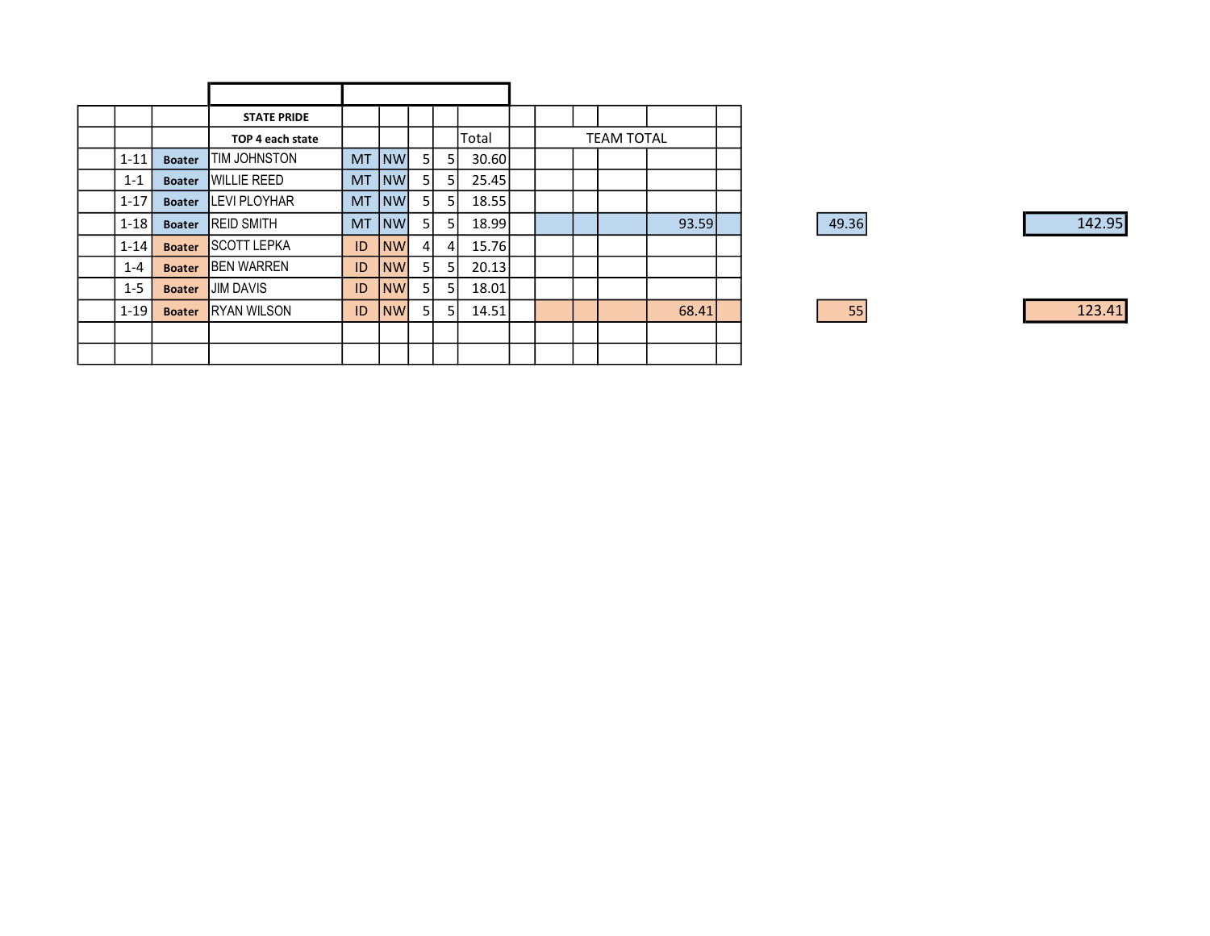|          |               | <b>STATE PRIDE</b>  |           |           |    |                |       |  |                   |       |  |
|----------|---------------|---------------------|-----------|-----------|----|----------------|-------|--|-------------------|-------|--|
|          |               | TOP 4 each state    |           |           |    |                | Total |  | <b>TEAM TOTAL</b> |       |  |
| $1 - 11$ | <b>Boater</b> | TIM JOHNSTON        | MT.       | <b>NW</b> | 51 | 5              | 30.60 |  |                   |       |  |
| $1 - 1$  | <b>Boater</b> | <b>IWILLIE REED</b> | <b>MT</b> | <b>NW</b> | 51 | 5 <sub>l</sub> | 25.45 |  |                   |       |  |
| $1 - 17$ | <b>Boater</b> | <b>ILEVIPLOYHAR</b> | MT.       | <b>NW</b> | 51 | -51            | 18.55 |  |                   |       |  |
| $1 - 18$ | <b>Boater</b> | <b>IREID SMITH</b>  | <b>MT</b> | NW        | 51 | 5              | 18.99 |  |                   | 93.59 |  |
| $1 - 14$ | <b>Boater</b> | <b>ISCOTT LEPKA</b> | ID        | <b>NW</b> | 41 | 4              | 15.76 |  |                   |       |  |
| $1 - 4$  | <b>Boater</b> | <b>BEN WARREN</b>   | ID        | <b>NW</b> | 51 | 5              | 20.13 |  |                   |       |  |
| $1 - 5$  | <b>Boater</b> | <b>JIM DAVIS</b>    | ID        | <b>NW</b> | 51 | 5              | 18.01 |  |                   |       |  |
| $1 - 19$ | <b>Boater</b> | <b>IRYAN WILSON</b> | ID        | <b>NW</b> | 51 | 51             | 14.51 |  |                   | 68.41 |  |
|          |               |                     |           |           |    |                |       |  |                   |       |  |
|          |               |                     |           |           |    |                |       |  |                   |       |  |

| 49.36 | 142.95 |
|-------|--------|
|       |        |
|       |        |
|       |        |
| 55    | 123.41 |
|       |        |
|       |        |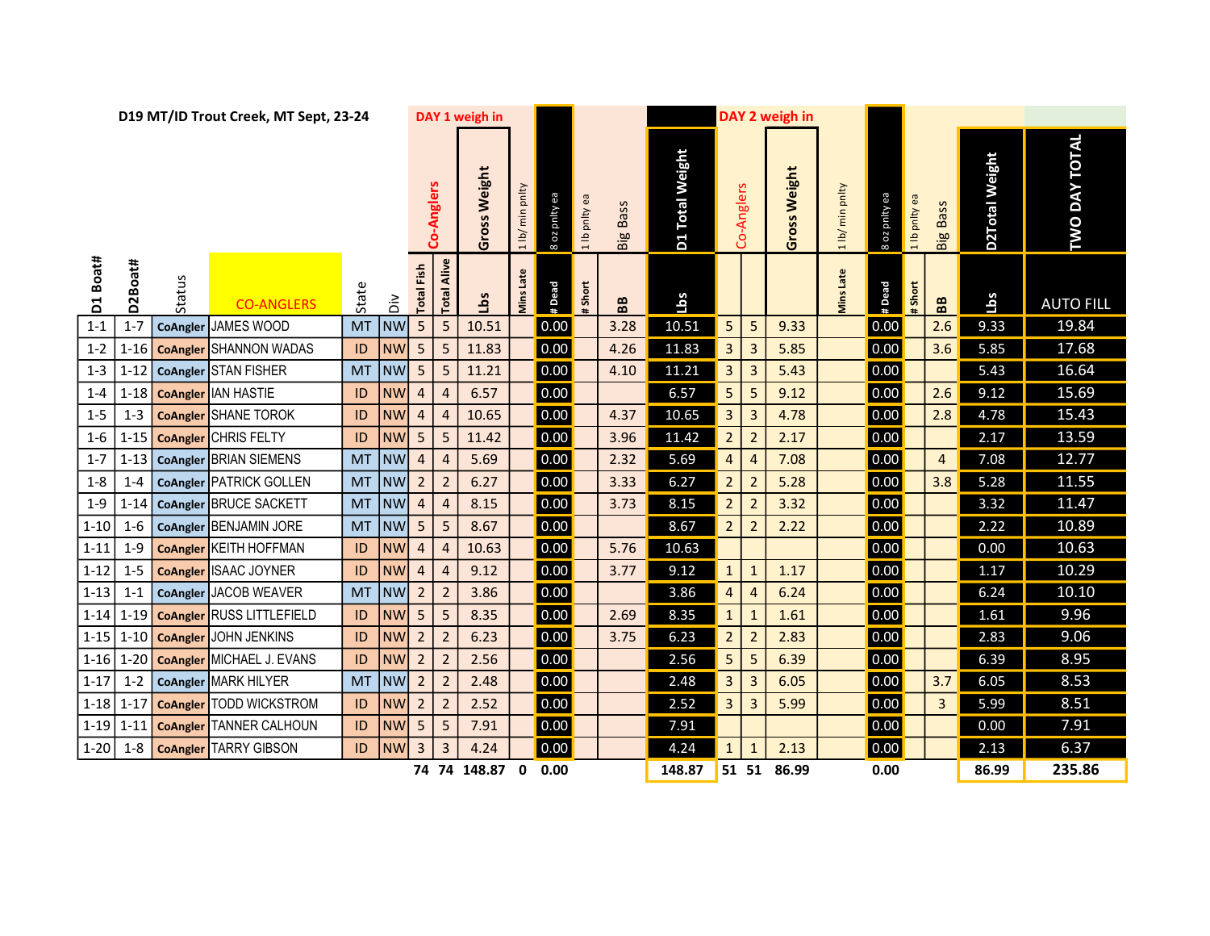|          |          |          | D19 MT/ID Trout Creek, MT Sept, 23-24 |           | DAY 1 weigh in |                         |                         |              |                 |               |               |                 | DAY 2 weigh in  |                         |                |              |                 |               |               |                 |                |                      |
|----------|----------|----------|---------------------------------------|-----------|----------------|-------------------------|-------------------------|--------------|-----------------|---------------|---------------|-----------------|-----------------|-------------------------|----------------|--------------|-----------------|---------------|---------------|-----------------|----------------|----------------------|
|          |          |          |                                       |           |                |                         | Co-Anglers              | Gross Weight | 1 lb/ min pnlty | 8 oz pnity ea | 1 lb pnlty ea | <b>Big Bass</b> | D1 Total Weight |                         | Co-Anglers     | Gross Weight | 1 lb/ min pnlty | 8 oz pnity ea | 1 lb pnlty ea | <b>Big Bass</b> | D2Total Weight | <b>TWO DAY TOTAL</b> |
| D1 Boat# | D2Boat#  | Status   | <b>CO-ANGLERS</b>                     | State     | $\tilde{a}$    | Fish<br>Total           | Alive<br>Total          | sqT          | Late<br>Viins   | # Dead        | Short         | BB              | Lbs             |                         |                |              | Viins Late      | #Dead         | #Short        | BB              | <u>Lbs</u>     | <b>AUTO FILL</b>     |
| $1 - 1$  | $1 - 7$  | CoAngler | <b>JAMES WOOD</b>                     | <b>MT</b> | <b>NW</b>      | 5 <sup>1</sup>          | 5                       | 10.51        |                 | 0.00          |               | 3.28            | 10.51           | 5                       | 5              | 9.33         |                 | 0.00          |               | 2.6             | 9.33           | 19.84                |
| $1 - 2$  | $1 - 16$ |          | <b>CoAngler</b> SHANNON WADAS         | ID        | <b>NW</b>      | 5 <sup>1</sup>          | 5                       | 11.83        |                 | 0.00          |               | 4.26            | 11.83           | 3                       | 3              | 5.85         |                 | 0.00          |               | 3.6             | 5.85           | 17.68                |
| $1 - 3$  | $1 - 12$ |          | CoAngler STAN FISHER                  | <b>MT</b> | <b>NW</b>      | 5 <sub>1</sub>          | 5                       | 11.21        |                 | 0.00          |               | 4.10            | 11.21           | 3                       | $\overline{3}$ | 5.43         |                 | 0.00          |               |                 | 5.43           | 16.64                |
| $1 - 4$  |          |          | 1-18 CoAngler IAN HASTIE              | ID        | <b>NW</b>      | $\overline{\mathbf{4}}$ | $\overline{a}$          | 6.57         |                 | 0.00          |               |                 | 6.57            | 5                       | 5              | 9.12         |                 | 0.00          |               | 2.6             | 9.12           | 15.69                |
| $1 - 5$  | $1 - 3$  |          | <b>CoAngler</b> SHANE TOROK           | ID        | <b>NW</b>      | $\overline{4}$          | $\overline{4}$          | 10.65        |                 | 0.00          |               | 4.37            | 10.65           | 3 <sup>1</sup>          | 3              | 4.78         |                 | 0.00          |               | 2.8             | 4.78           | 15.43                |
| $1 - 6$  | $1 - 15$ |          | <b>CoAngler</b> CHRIS FELTY           | ID        | <b>NW</b>      | 5 <sup>1</sup>          | 5                       | 11.42        |                 | 0.00          |               | 3.96            | 11.42           | 2 <sup>2</sup>          | $\overline{2}$ | 2.17         |                 | 0.00          |               |                 | 2.17           | 13.59                |
| $1 - 7$  | $1 - 13$ |          | CoAngler BRIAN SIEMENS                | <b>MT</b> | NW             | $\overline{\mathbf{4}}$ | $\overline{4}$          | 5.69         |                 | 0.00          |               | 2.32            | 5.69            | $\overline{4}$          | $\overline{4}$ | 7.08         |                 | 0.00          |               | $\overline{4}$  | 7.08           | 12.77                |
| $1-8$    | $1 - 4$  |          | CoAngler PATRICK GOLLEN               | <b>MT</b> | NW             | 2                       | $\overline{2}$          | 6.27         |                 | 0.00          |               | 3.33            | 6.27            | 2 <sup>7</sup>          | 2              | 5.28         |                 | 0.00          |               | 3.8             | 5.28           | 11.55                |
| $1 - 9$  | $1 - 14$ |          | CoAngler BRUCE SACKETT                |           | MT NW          | $\overline{4}$          | $\overline{4}$          | 8.15         |                 | 0.00          |               | 3.73            | 8.15            | 2 <sup>7</sup>          | $\overline{2}$ | 3.32         |                 | 0.00          |               |                 | 3.32           | 11.47                |
| $1 - 10$ | $1-6$    |          | CoAngler BENJAMIN JORE                | <b>MT</b> | INW            | 5                       | 5                       | 8.67         |                 | 0.00          |               |                 | 8.67            | 2                       | 2              | 2.22         |                 | 0.00          |               |                 | 2.22           | 10.89                |
| $1 - 11$ | $1-9$    |          | <b>CoAngler KEITH HOFFMAN</b>         | ID        | <b>NW</b>      | $\overline{a}$          | 4                       | 10.63        |                 | 0.00          |               | 5.76            | 10.63           |                         |                |              |                 | 0.00          |               |                 | 0.00           | 10.63                |
| $1 - 12$ | $1 - 5$  |          | CoAngler SAAC JOYNER                  | ID        | <b>NW</b>      | $\overline{4}$          | $\overline{\mathbf{r}}$ | 9.12         |                 | 0.00          |               | 3.77            | 9.12            | $\mathbf{1}$            | 1              | 1.17         |                 | 0.00          |               |                 | 1.17           | 10.29                |
| $1 - 13$ | $1 - 1$  |          | CoAngler JACOB WEAVER                 | <b>MT</b> | <b>NW</b>      | $\overline{2}$          | $\overline{2}$          | 3.86         |                 | 0.00          |               |                 | 3.86            | $\overline{\mathbf{4}}$ | $\overline{4}$ | 6.24         |                 | 0.00          |               |                 | 6.24           | 10.10                |
| $1 - 14$ | $1 - 19$ |          | <b>CoAngler RUSS LITTLEFIELD</b>      | ID        | <b>NW</b>      | 5 <sup>1</sup>          | 5                       | 8.35         |                 | 0.00          |               | 2.69            | 8.35            | $\mathbf{1}$            | 1              | 1.61         |                 | 0.00          |               |                 | 1.61           | 9.96                 |
| $1 - 15$ | $1 - 10$ |          | <b>CoAngler JOHN JENKINS</b>          | ID        | <b>NW</b>      | $\overline{2}$          | $\overline{2}$          | 6.23         |                 | 0.00          |               | 3.75            | 6.23            | 2 <sup>7</sup>          | $\overline{2}$ | 2.83         |                 | 0.00          |               |                 | 2.83           | 9.06                 |
| $1 - 16$ | $1 - 20$ |          | <b>CoAngler</b> MICHAEL J. EVANS      | ID        | <b>NW</b>      | 2                       | $\overline{2}$          | 2.56         |                 | 0.00          |               |                 | 2.56            | 5 <sup>1</sup>          | 5              | 6.39         |                 | 0.00          |               |                 | 6.39           | 8.95                 |
| $1 - 17$ | $1 - 2$  |          | CoAngler MARK HILYER                  | <b>MT</b> | <b>NW</b>      | 2 <sup>2</sup>          | $\overline{2}$          | 2.48         |                 | 0.00          |               |                 | 2.48            | 3 <sup>1</sup>          | 3              | 6.05         |                 | 0.00          |               | 3.7             | 6.05           | 8.53                 |
|          |          |          | 1-18 1-17 CoAngler TODD WICKSTROM     | ID        | <b>NW</b>      | 2                       | $\overline{2}$          | 2.52         |                 | 0.00          |               |                 | 2.52            | 3                       | $\overline{3}$ | 5.99         |                 | 0.00          |               | $\mathbf{3}$    | 5.99           | 8.51                 |
|          |          |          | 1-19 1-11   CoAngler TANNER CALHOUN   | ID        | <b>NW</b>      | 5 <sub>1</sub>          | 5                       | 7.91         |                 | 0.00          |               |                 | 7.91            |                         |                |              |                 | 0.00          |               |                 | 0.00           | 7.91                 |
| $1-20$   | $1-8$    |          | <b>CoAngler TARRY GIBSON</b>          | ID        | <b>NW</b>      | 3 <sup>1</sup>          | $\overline{3}$          | 4.24         |                 | 0.00          |               |                 | 4.24            | $\mathbf{1}$            | $\mathbf{1}$   | 2.13         |                 | 0.00          |               |                 | 2.13           | 6.37                 |
|          |          |          |                                       |           |                |                         |                         | 74 74 148.87 | $\mathbf 0$     | 0.00          |               |                 | 148.87          |                         |                | 51 51 86.99  |                 | 0.00          |               |                 | 86.99          | 235.86               |